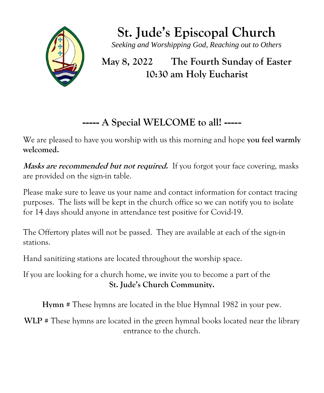

**St. Jude's Episcopal Church** *Seeking and Worshipping God, Reaching out to Others*

**May 8, 2022 The Fourth Sunday of Easter 10:30 am Holy Eucharist**

# **----- A Special WELCOME to all! -----**

We are pleased to have you worship with us this morning and hope **you feel warmly welcomed.** 

**Masks are recommended but not required.** If you forgot your face covering, masks are provided on the sign-in table.

Please make sure to leave us your name and contact information for contact tracing purposes. The lists will be kept in the church office so we can notify you to isolate for 14 days should anyone in attendance test positive for Covid-19.

The Offertory plates will not be passed. They are available at each of the sign-in stations.

Hand sanitizing stations are located throughout the worship space.

If you are looking for a church home, we invite you to become a part of the **St. Jude's Church Community.**

**Hymn #** These hymns are located in the blue Hymnal 1982 in your pew.

**WLP #** These hymns are located in the green hymnal books located near the library entrance to the church.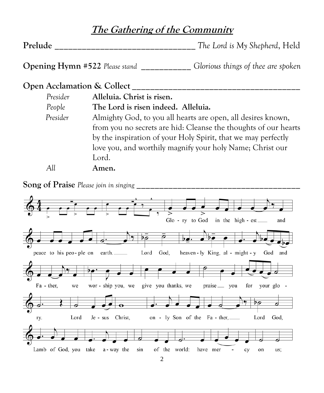## **The Gathering of the Community**

| Prelude | The Lord is My Shepherd, Held |
|---------|-------------------------------|
|---------|-------------------------------|

**Opening Hymn #522** *Please stand* **\_\_\_\_\_\_\_\_\_\_\_** *Glorious things of thee are spoken*

### **Open Acclamation & Collect \_\_\_\_\_\_\_\_\_\_\_\_\_\_\_\_\_\_\_\_\_\_\_\_\_\_\_\_\_\_\_\_\_\_\_\_\_**

| Presider | Alleluia. Christ is risen.                                      |
|----------|-----------------------------------------------------------------|
| People   | The Lord is risen indeed. Alleluia.                             |
| Presider | Almighty God, to you all hearts are open, all desires known,    |
|          | from you no secrets are hid: Cleanse the thoughts of our hearts |
|          | by the inspiration of your Holy Spirit, that we may perfectly   |
|          | love you, and worthily magnify your holy Name; Christ our       |
|          | Lord.                                                           |
| All      | Amen.                                                           |

**Song of Praise** *Please join in singing* **\_\_\_\_\_\_\_\_\_\_\_\_\_\_\_\_\_\_\_\_\_\_\_\_\_\_\_\_\_\_\_\_\_\_\_\_**

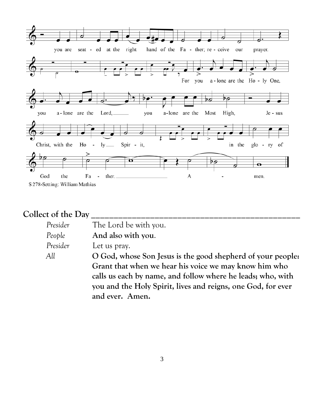

#### **Collect of the Day \_\_\_\_\_\_\_\_\_\_\_\_\_\_\_\_\_\_\_\_\_\_\_\_\_\_\_\_\_\_\_\_\_\_\_\_\_\_\_\_\_\_\_\_\_\_**

Presider The Lord be with you.

*People* **And also with you**.

*Presider* Let us pray.

*All* **O God, whose Son Jesus is the good shepherd of your people: Grant that when we hear his voice we may know him who calls us each by name, and follow where he leads; who, with you and the Holy Spirit, lives and reigns, one God, for ever and ever. Amen.**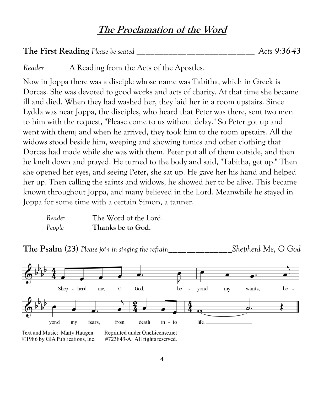## **The Proclamation of the Word**

| The First Reading Please be seated | Acts 9:36-43 |
|------------------------------------|--------------|
|------------------------------------|--------------|

*Reader* A Reading from the Acts of the Apostles.

Now in Joppa there was a disciple whose name was Tabitha, which in Greek is Dorcas. She was devoted to good works and acts of charity. At that time she became ill and died. When they had washed her, they laid her in a room upstairs. Since Lydda was near Joppa, the disciples, who heard that Peter was there, sent two men to him with the request, "Please come to us without delay." So Peter got up and went with them; and when he arrived, they took him to the room upstairs. All the widows stood beside him, weeping and showing tunics and other clothing that Dorcas had made while she was with them. Peter put all of them outside, and then he knelt down and prayed. He turned to the body and said, "Tabitha, get up." Then she opened her eyes, and seeing Peter, she sat up. He gave her his hand and helped her up. Then calling the saints and widows, he showed her to be alive. This became known throughout Joppa, and many believed in the Lord. Meanwhile he stayed in Joppa for some time with a certain Simon, a tanner.

| Reader | The Word of the Lord. |
|--------|-----------------------|
| People | Thanks be to God.     |

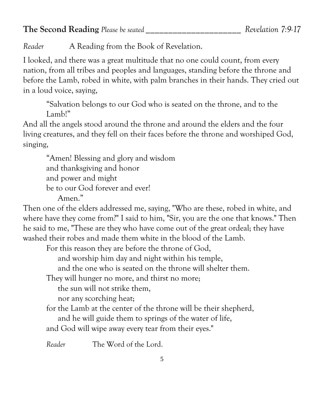**The Second Reading** *Please be seated* **\_\_\_\_\_\_\_\_\_\_\_\_\_\_\_\_\_\_\_\_\_** *Revelation 7:9-17*

*Reader* A Reading from the Book of Revelation.

I looked, and there was a great multitude that no one could count, from every nation, from all tribes and peoples and languages, standing before the throne and before the Lamb, robed in white, with palm branches in their hands. They cried out in a loud voice, saying,

"Salvation belongs to our God who is seated on the throne, and to the Lamb!"

And all the angels stood around the throne and around the elders and the four living creatures, and they fell on their faces before the throne and worshiped God, singing,

"Amen! Blessing and glory and wisdom and thanksgiving and honor and power and might be to our God forever and ever! Amen."

Then one of the elders addressed me, saying, "Who are these, robed in white, and where have they come from?" I said to him, "Sir, you are the one that knows." Then he said to me, "These are they who have come out of the great ordeal; they have washed their robes and made them white in the blood of the Lamb.

For this reason they are before the throne of God,

and worship him day and night within his temple,

and the one who is seated on the throne will shelter them.

They will hunger no more, and thirst no more;

the sun will not strike them,

nor any scorching heat;

for the Lamb at the center of the throne will be their shepherd,

and he will guide them to springs of the water of life,

and God will wipe away every tear from their eyes."

*Reader* The Word of the Lord.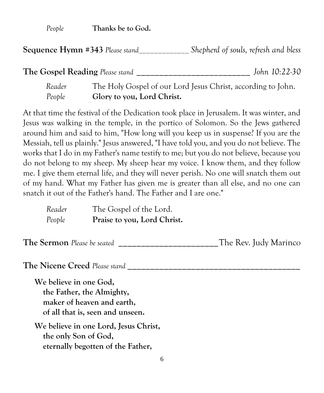*People* **Thanks be to God.**

**Sequence Hymn #343** *Please stand\_\_\_\_\_\_\_\_\_\_\_\_\_ Shepherd of souls, refresh and bless*

**The Gospel Reading** *Please stand* **\_\_\_\_\_\_\_\_\_\_\_\_\_\_\_\_\_\_\_\_\_\_\_\_\_** *John 10:22-30*

*Reader* The Holy Gospel of our Lord Jesus Christ, according to John. *People* **Glory to you, Lord Christ.**

At that time the festival of the Dedication took place in Jerusalem. It was winter, and Jesus was walking in the temple, in the portico of Solomon. So the Jews gathered around him and said to him, "How long will you keep us in suspense? If you are the Messiah, tell us plainly." Jesus answered, "I have told you, and you do not believe. The works that I do in my Father's name testify to me; but you do not believe, because you do not belong to my sheep. My sheep hear my voice. I know them, and they follow me. I give them eternal life, and they will never perish. No one will snatch them out of my hand. What my Father has given me is greater than all else, and no one can snatch it out of the Father's hand. The Father and I are one."

| Reader | The Gospel of the Lord.     |
|--------|-----------------------------|
| People | Praise to you, Lord Christ. |

**The Sermon** *Please be seated* **\_\_\_\_\_\_\_\_\_\_\_\_\_\_\_\_\_\_\_\_\_\_**The Rev. Judy Marinco

**The Nicene Creed** *Please stand* **\_\_\_\_\_\_\_\_\_\_\_\_\_\_\_\_\_\_\_\_\_\_\_\_\_\_\_\_\_\_\_\_\_\_\_\_\_\_**

**We believe in one God, the Father, the Almighty, maker of heaven and earth, of all that is, seen and unseen.**

**We believe in one Lord, Jesus Christ, the only Son of God, eternally begotten of the Father,**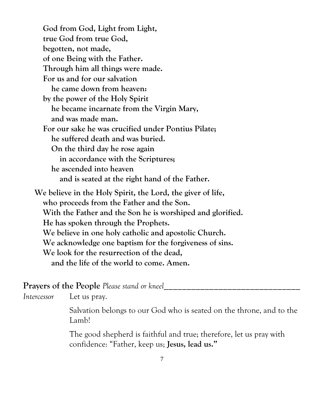**God from God, Light from Light, true God from true God, begotten, not made, of one Being with the Father. Through him all things were made. For us and for our salvation he came down from heaven: by the power of the Holy Spirit he became incarnate from the Virgin Mary, and was made man. For our sake he was crucified under Pontius Pilate; he suffered death and was buried. On the third day he rose again in accordance with the Scriptures; he ascended into heaven and is seated at the right hand of the Father. We believe in the Holy Spirit, the Lord, the giver of life, who proceeds from the Father and the Son. With the Father and the Son he is worshiped and glorified. He has spoken through the Prophets. We believe in one holy catholic and apostolic Church. We acknowledge one baptism for the forgiveness of sins. We look for the resurrection of the dead, and the life of the world to come. Amen.**

**Prayers of the People Please stand or kneel** 

*Intercessor* Let us pray.

Salvation belongs to our God who is seated on the throne, and to the L<sub>amb!</sub>

The good shepherd is faithful and true; therefore, let us pray with confidence: "Father, keep us; **Jesus, lead us."**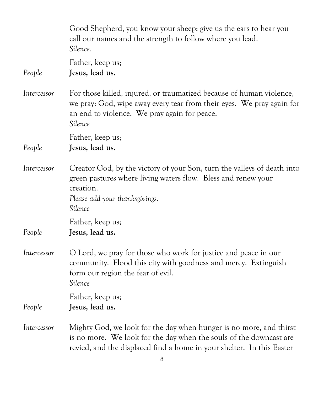|             | Good Shepherd, you know your sheep: give us the ears to hear you<br>call our names and the strength to follow where you lead.<br>Silence.                                                                         |
|-------------|-------------------------------------------------------------------------------------------------------------------------------------------------------------------------------------------------------------------|
| People      | Father, keep us;<br>Jesus, lead us.                                                                                                                                                                               |
| Intercessor | For those killed, injured, or traumatized because of human violence,<br>we pray: God, wipe away every tear from their eyes. We pray again for<br>an end to violence. We pray again for peace.<br>Silence          |
| People      | Father, keep us;<br>Jesus, lead us.                                                                                                                                                                               |
| Intercessor | Creator God, by the victory of your Son, turn the valleys of death into<br>green pastures where living waters flow. Bless and renew your<br>creation.<br>Please add your thanksgivings.<br>Silence                |
| People      | Father, keep us;<br>Jesus, lead us.                                                                                                                                                                               |
| Intercessor | O Lord, we pray for those who work for justice and peace in our<br>community. Flood this city with goodness and mercy. Extinguish<br>form our region the fear of evil.<br>Silence                                 |
| People      | Father, keep us;<br>Jesus, lead us.                                                                                                                                                                               |
| Intercessor | Mighty God, we look for the day when hunger is no more, and thirst<br>is no more. We look for the day when the souls of the downcast are<br>revied, and the displaced find a home in your shelter. In this Easter |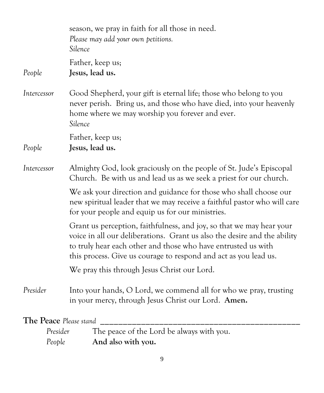|                               | season, we pray in faith for all those in need.<br>Please may add your own petitions.<br>Silence                                                                                                                                                                                      |
|-------------------------------|---------------------------------------------------------------------------------------------------------------------------------------------------------------------------------------------------------------------------------------------------------------------------------------|
|                               |                                                                                                                                                                                                                                                                                       |
| People                        | Father, keep us;<br>Jesus, lead us.                                                                                                                                                                                                                                                   |
| Intercessor                   | Good Shepherd, your gift is eternal life; those who belong to you<br>never perish. Bring us, and those who have died, into your heavenly<br>home where we may worship you forever and ever.<br>Silence                                                                                |
| People                        | Father, keep us;<br>Jesus, lead us.                                                                                                                                                                                                                                                   |
| Intercessor                   | Almighty God, look graciously on the people of St. Jude's Episcopal<br>Church. Be with us and lead us as we seek a priest for our church.                                                                                                                                             |
|                               | We ask your direction and guidance for those who shall choose our<br>new spiritual leader that we may receive a faithful pastor who will care<br>for your people and equip us for our ministries.                                                                                     |
|                               | Grant us perception, faithfulness, and joy, so that we may hear your<br>voice in all our deliberations. Grant us also the desire and the ability<br>to truly hear each other and those who have entrusted us with<br>this process. Give us courage to respond and act as you lead us. |
|                               | We pray this through Jesus Christ our Lord.                                                                                                                                                                                                                                           |
| Presider                      | Into your hands, O Lord, we commend all for who we pray, trusting<br>in your mercy, through Jesus Christ our Lord. Amen.                                                                                                                                                              |
| <b>The Peace Please stand</b> |                                                                                                                                                                                                                                                                                       |
| Presider                      | The peace of the Lord be always with you.                                                                                                                                                                                                                                             |
| People                        | And also with you.                                                                                                                                                                                                                                                                    |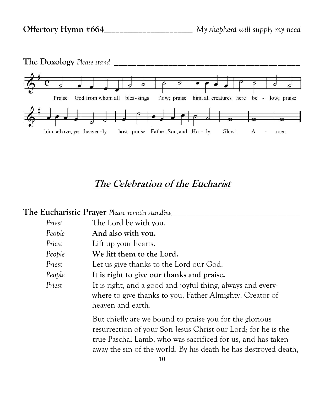

## **The Celebration of the Eucharist**

|        | <b>The Eucharistic Prayer</b> Please remain standing                                                                                                                                                                                                       |
|--------|------------------------------------------------------------------------------------------------------------------------------------------------------------------------------------------------------------------------------------------------------------|
| Priest | The Lord be with you.                                                                                                                                                                                                                                      |
| People | And also with you.                                                                                                                                                                                                                                         |
| Priest | Lift up your hearts.                                                                                                                                                                                                                                       |
| People | We lift them to the Lord.                                                                                                                                                                                                                                  |
| Priest | Let us give thanks to the Lord our God.                                                                                                                                                                                                                    |
| People | It is right to give our thanks and praise.                                                                                                                                                                                                                 |
| Priest | It is right, and a good and joyful thing, always and every-<br>where to give thanks to you, Father Almighty, Creator of<br>heaven and earth.                                                                                                               |
|        | But chiefly are we bound to praise you for the glorious<br>resurrection of your Son Jesus Christ our Lord; for he is the<br>true Paschal Lamb, who was sacrificed for us, and has taken<br>away the sin of the world. By his death he has destroyed death, |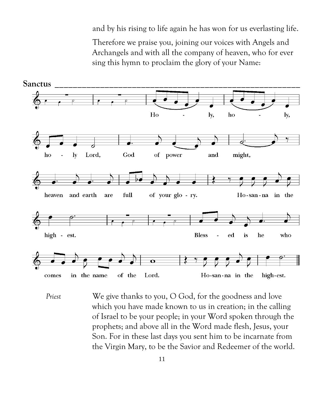and by his rising to life again he has won for us everlasting life.

Therefore we praise you, joining our voices with Angels and Archangels and with all the company of heaven, who for ever sing this hymn to proclaim the glory of your Name:



*Priest* We give thanks to you, O God, for the goodness and love which you have made known to us in creation; in the calling of Israel to be your people; in your Word spoken through the prophets; and above all in the Word made flesh, Jesus, your Son. For in these last days you sent him to be incarnate from the Virgin Mary, to be the Savior and Redeemer of the world.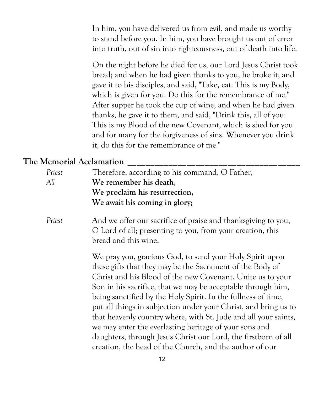In him, you have delivered us from evil, and made us worthy to stand before you. In him, you have brought us out of error into truth, out of sin into righteousness, out of death into life.

On the night before he died for us, our Lord Jesus Christ took bread; and when he had given thanks to you, he broke it, and gave it to his disciples, and said, "Take, eat: This is my Body, which is given for you. Do this for the remembrance of me." After supper he took the cup of wine; and when he had given thanks, he gave it to them, and said, "Drink this, all of you: This is my Blood of the new Covenant, which is shed for you and for many for the forgiveness of sins. Whenever you drink it, do this for the remembrance of me."

#### **The Memorial Acclamation \_\_\_\_\_\_\_\_\_\_\_\_\_\_\_\_\_\_\_\_\_\_\_\_\_\_\_\_\_\_\_\_\_\_\_\_\_\_**

| Priest<br>All | Therefore, according to his command, O Father,<br>We remember his death,<br>We proclaim his resurrection,<br>We await his coming in glory;                                                                                                                                                                                                                                                                                                                                                                                                                                                                                                        |
|---------------|---------------------------------------------------------------------------------------------------------------------------------------------------------------------------------------------------------------------------------------------------------------------------------------------------------------------------------------------------------------------------------------------------------------------------------------------------------------------------------------------------------------------------------------------------------------------------------------------------------------------------------------------------|
| Priest        | And we offer our sacrifice of praise and thanksgiving to you,<br>O Lord of all; presenting to you, from your creation, this<br>bread and this wine.                                                                                                                                                                                                                                                                                                                                                                                                                                                                                               |
|               | We pray you, gracious God, to send your Holy Spirit upon<br>these gifts that they may be the Sacrament of the Body of<br>Christ and his Blood of the new Covenant. Unite us to your<br>Son in his sacrifice, that we may be acceptable through him,<br>being sanctified by the Holy Spirit. In the fullness of time,<br>put all things in subjection under your Christ, and bring us to<br>that heavenly country where, with St. Jude and all your saints,<br>we may enter the everlasting heritage of your sons and<br>daughters; through Jesus Christ our Lord, the firstborn of all<br>creation, the head of the Church, and the author of our |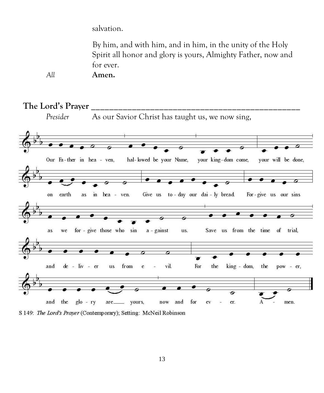salvation.

By him, and with him, and in him, in the unity of the Holy Spirit all honor and glory is yours, Almighty Father, now and for ever.

*All* **Amen.**



S 149: The Lord's Prayer (Contemporary); Setting: McNeil Robinson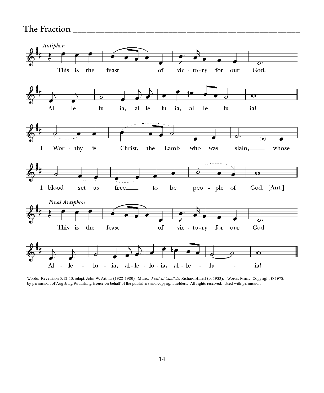#### The Fraction



Words: Revelation 5:12-13; adapt. John W. Arthur (1922-1980). Music: Festival Canticle, Richard Hillert (b. 1923). Words, Music: Copyright @ 1978, by permission of Augsburg Publishing House on behalf of the publishers and copyright holders. All rights reserved. Used with permission.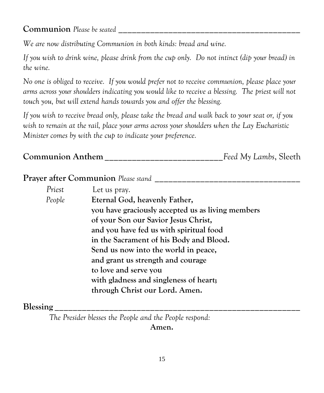#### **Communion** *Please be seated* **\_\_\_\_\_\_\_\_\_\_\_\_\_\_\_\_\_\_\_\_\_\_\_\_\_\_\_\_\_\_\_\_\_\_\_\_\_\_\_\_**

*We are now distributing Communion in both kinds: bread and wine.* 

*If you wish to drink wine, please drink from the cup only. Do not intinct (dip your bread) in the wine.*

*No one is obliged to receive. If you would prefer not to receive communion, please place your arms across your shoulders indicating you would like to receive a blessing. The priest will not touch you, but will extend hands towards you and offer the blessing.*

*If you wish to receive bread only, please take the bread and walk back to your seat or, if you wish to remain at the rail, place your arms across your shoulders when the Lay Eucharistic Minister comes by with the cup to indicate your preference.*

| <b>Communion Anthem</b> |  |  | Feed My Lambs, Sleeth |  |
|-------------------------|--|--|-----------------------|--|
|-------------------------|--|--|-----------------------|--|

|        | <b>Prayer after Communion</b> Please stand        |
|--------|---------------------------------------------------|
| Priest | Let us pray.                                      |
| People | Eternal God, heavenly Father,                     |
|        | you have graciously accepted us as living members |
|        | of your Son our Savior Jesus Christ,              |
|        | and you have fed us with spiritual food           |
|        | in the Sacrament of his Body and Blood.           |
|        | Send us now into the world in peace,              |
|        | and grant us strength and courage                 |
|        | to love and serve you                             |
|        | with gladness and singleness of heart;            |
|        | through Christ our Lord. Amen.                    |

#### **Blessing \_\_\_\_\_\_\_\_\_\_\_\_\_\_\_\_\_\_\_\_\_\_\_\_\_\_\_\_\_\_\_\_\_\_\_\_\_\_\_\_\_\_\_\_\_\_\_\_\_\_\_\_\_\_**

*The Presider blesses the People and the People respond:* **Amen.**